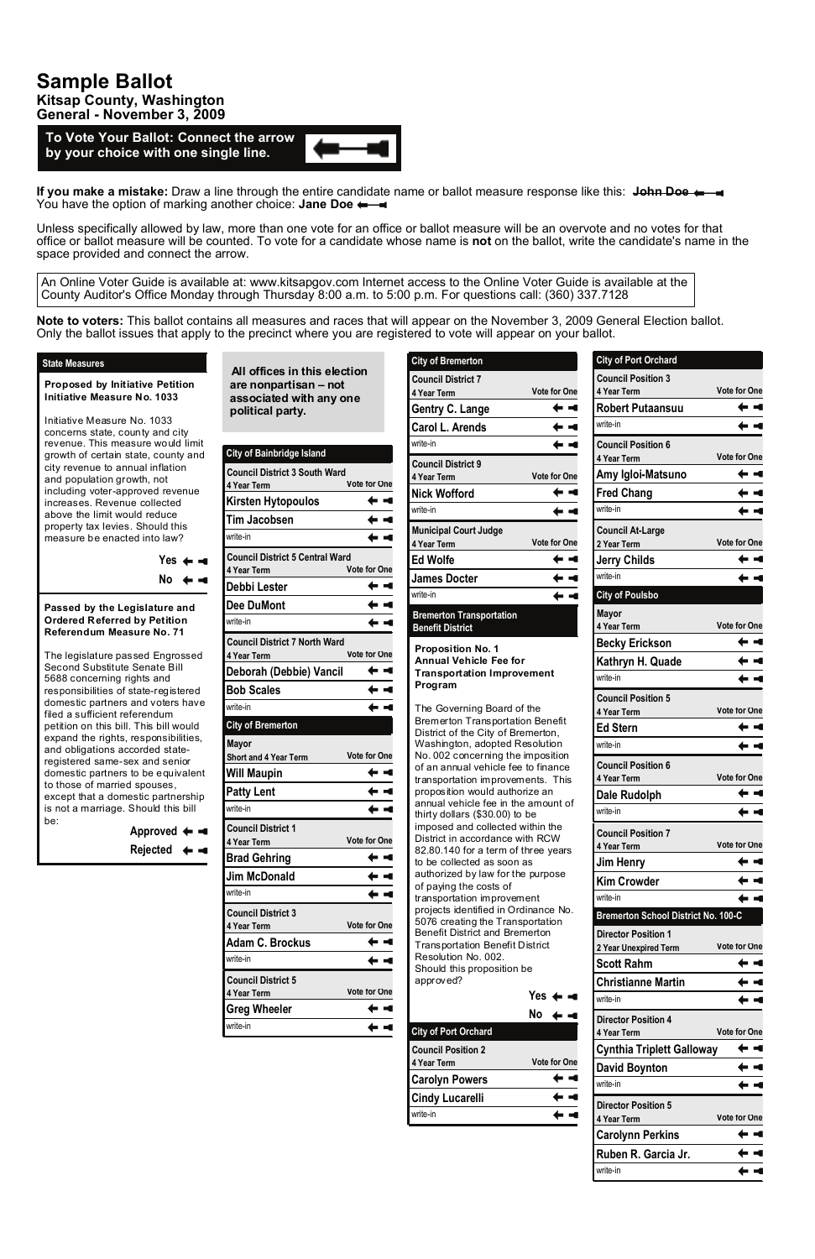**All offices in this election are nonpartisan – not associated with any one political party.** 

**To Vote Your Ballot: Connect the arrow by your choice with one single line.**

## **City of Bainbridge Island**

| <b>Council District 3 South Ward</b><br>4 Year Term   | <b>Vote for One</b> |  |
|-------------------------------------------------------|---------------------|--|
| Kirsten Hytopoulos                                    |                     |  |
| <b>Tim Jacobsen</b>                                   |                     |  |
| write-in                                              |                     |  |
| <b>Council District 5 Central Ward</b><br>4 Year Term | <b>Vote for One</b> |  |
| Debbi Lester                                          |                     |  |
| <b>Dee DuMont</b>                                     |                     |  |
| write-in                                              |                     |  |
| <b>Council District 7 North Ward</b><br>4 Year Term   | <b>Vote for One</b> |  |
| Deborah (Debbie) Vancil                               |                     |  |
| <b>Bob Scales</b>                                     |                     |  |
| write-in                                              |                     |  |
| <b>City of Bremerton</b>                              |                     |  |
| <b>Mayor</b><br>Short and 4 Year Term                 | <b>Vote for One</b> |  |
| Will Maupin                                           |                     |  |
| <b>Patty Lent</b>                                     |                     |  |
| write-in                                              |                     |  |
| <b>Council District 1</b><br>4 Year Term              | <b>Vote for One</b> |  |
| <b>Brad Gehring</b>                                   |                     |  |
| <b>Jim McDonald</b>                                   |                     |  |
| write-in                                              |                     |  |
| <b>Council District 3</b>                             |                     |  |

**City of Port Orchard Council Position 3 4 Year Term Vote for One Robert Putaansuu** ← ◄ write-in ← < **Council Position 6 4 Year Term Vote for One Amy Igloi-Matsuno** ← ◄ **Fred Chang** ← ◄ write-in  $\leftarrow$   $\lnot$ **Council At-Large 2 Year Term Vote for One Jerry Childs**  $\leftarrow$   $\leftarrow$ write-in  $\leftarrow$   $\leftarrow$ **City of Poulsbo Mayor 4 Year Term Vote for One Becky Erickson** ← ◄ **Kathryn H. Quade** ← ◄ write-in  $\div$   $\blacktriangleleft$ **Council Position 5 4 Year Term Vote for One Ed Stern** ← ◄ write-in ← ◄ **Council Position 6 4 Year Term Vote for One** ← ◄ **Dale Rudolph** write-in  $\leftarrow$   $\leftarrow$ **Council Position 7 4 Year Term Vote for One**  $\leftarrow$   $\leftarrow$ **Jim Henry Kim Crowder** ← < write-in  $\leftarrow$   $\leftarrow$ 

**If you make a mistake:** Draw a line through the entire candidate name or ballot measure response like this: **John Doe** You have the option of marking another choice: **Jane Doe**  $\leftarrow$ 

**Bremerton School District No. 100-C**

## **Sample Ballot Kitsap County, Washington General - November 3, 2009**

| 4 Year Term               | <b>Vote for One</b> | 5076 creating the Transportation                                         |                     | DIGITIGLIOII SCHOOL DISTRICT MO. TUU-C              |                     |
|---------------------------|---------------------|--------------------------------------------------------------------------|---------------------|-----------------------------------------------------|---------------------|
| <b>Adam C. Brockus</b>    | - 4                 | <b>Benefit District and Bremerton</b><br>Transportation Benefit District |                     | <b>Director Position 1</b><br>2 Year Unexpired Term | <b>Vote for One</b> |
| write-in                  | <b>CONTRACT</b>     | Resolution No. 002.<br>Should this proposition be                        |                     | <b>Scott Rahm</b>                                   |                     |
| <b>Council District 5</b> |                     | approved?                                                                |                     | <b>Christianne Martin</b>                           |                     |
| 4 Year Term               | <b>Vote for One</b> |                                                                          | Yes $\leftarrow -$  | write-in                                            |                     |
| <b>Greg Wheeler</b>       |                     |                                                                          | No ∢                | <b>Director Position 4</b>                          |                     |
| write-in                  |                     | <b>City of Port Orchard</b>                                              |                     | 4 Year Term                                         | <b>Vote for One</b> |
|                           |                     | <b>Council Position 2</b>                                                |                     | <b>Cynthia Triplett Galloway</b>                    |                     |
|                           |                     | 4 Year Term                                                              | <b>Vote for One</b> | <b>David Boynton</b>                                |                     |
|                           |                     | <b>Carolyn Powers</b>                                                    |                     | write-in                                            |                     |
|                           |                     | <b>Cindy Lucarelli</b>                                                   |                     | <b>Director Position 5</b>                          |                     |
|                           |                     | write-in                                                                 |                     | 4 Year Term                                         | <b>Vote for One</b> |
|                           |                     |                                                                          |                     | <b>Carolynn Perkins</b>                             |                     |
|                           |                     |                                                                          |                     | Ruben R. Garcia Jr.                                 |                     |
|                           |                     |                                                                          |                     | write-in                                            |                     |

Unless specifically allowed by law, more than one vote for an office or ballot measure will be an overvote and no votes for that office or ballot measure will be counted. To vote for a candidate whose name is **not** on the ballot, write the candidate's name in the space provided and connect the arrow.

| ,,,,,<br>uppu                                                                                                                                                                                                                                                                                                                                                                                                                                                                           |                     |
|-----------------------------------------------------------------------------------------------------------------------------------------------------------------------------------------------------------------------------------------------------------------------------------------------------------------------------------------------------------------------------------------------------------------------------------------------------------------------------------------|---------------------|
| <b>City of Bremerton</b>                                                                                                                                                                                                                                                                                                                                                                                                                                                                |                     |
| <b>Council District 7</b>                                                                                                                                                                                                                                                                                                                                                                                                                                                               |                     |
| 4 Year Term                                                                                                                                                                                                                                                                                                                                                                                                                                                                             | <b>Vote for One</b> |
| <b>Gentry C. Lange</b>                                                                                                                                                                                                                                                                                                                                                                                                                                                                  |                     |
| <b>Carol L. Arends</b>                                                                                                                                                                                                                                                                                                                                                                                                                                                                  |                     |
| write-in                                                                                                                                                                                                                                                                                                                                                                                                                                                                                |                     |
| <b>Council District 9</b><br>4 Year Term                                                                                                                                                                                                                                                                                                                                                                                                                                                | <b>Vote for One</b> |
| <b>Nick Wofford</b>                                                                                                                                                                                                                                                                                                                                                                                                                                                                     |                     |
| write-in                                                                                                                                                                                                                                                                                                                                                                                                                                                                                |                     |
| <b>Municipal Court Judge</b><br>4 Year Term                                                                                                                                                                                                                                                                                                                                                                                                                                             | <b>Vote for One</b> |
| <b>Ed Wolfe</b>                                                                                                                                                                                                                                                                                                                                                                                                                                                                         |                     |
| <b>James Docter</b>                                                                                                                                                                                                                                                                                                                                                                                                                                                                     |                     |
| write-in                                                                                                                                                                                                                                                                                                                                                                                                                                                                                |                     |
| <b>Bremerton Transportation</b><br><b>Benefit District</b>                                                                                                                                                                                                                                                                                                                                                                                                                              |                     |
| <b>Proposition No. 1</b><br><b>Annual Vehicle Fee for</b><br><b>Transportation Improvement</b><br>Program                                                                                                                                                                                                                                                                                                                                                                               |                     |
| The Governing Board of the<br><b>Bremerton Transportation Benefit</b><br>District of the City of Bremerton,<br>Washington, adopted Resolution<br>No. 002 concerning the imposition<br>of an annual vehicle fee to finance<br>transportation improvements. This<br>proposition would authorize an<br>annual vehicle fee in the amount of<br>thirty dollars (\$30.00) to be<br>imposed and collected within the<br>District in accordance with RCW<br>82.80.140 for a term of three years |                     |

**Note to voters:** This ballot contains all measures and races that will appear on the November 3, 2009 General Election ballot. Only the ballot issues that apply to the precinct where you are registered to vote will appear on your ballot.

to be collected as soon as

authorized by law for the purpose

of paying the costs of transportation improvement projects identified in Ordinance No.

**Proposed by Initiative Petition Initiative Measure No. 1033** 

Initiative Measure No. 1033 concerns state, county and city revenue. This measure would limit growth of certain state, county and city revenue to annual inflation and population growth, not including voter-approved revenue increases. Revenue collected above the limit would reduce property tax levies. Should this measure be enacted into law?

> Yes ← **⊸**  $No \leftarrow -$

## **State Measures**

**Approved Rejected**

**Passed by the Legislature and Ordered Referred by Petition Referendum Measure No. 71** 

The legislature passed Engrossed Second Substitute Senate Bill 5688 concerning rights and responsibilities of state-registered domestic partners and voters have filed a sufficient referendum petition on this bill. This bill would expand the rights, responsibilities, and obligations accorded stateregistered same-sex and senior domestic partners to be equivalent to those of married spouses, except that a domestic partnership is not a marriage. Should this bill be:

An Online Voter Guide is available at: www.kitsapgov.com Internet access to the Online Voter Guide is available at the County Auditor's Office Monday through Thursday 8:00 a.m. to 5:00 p.m. For questions call: (360) 337.7128